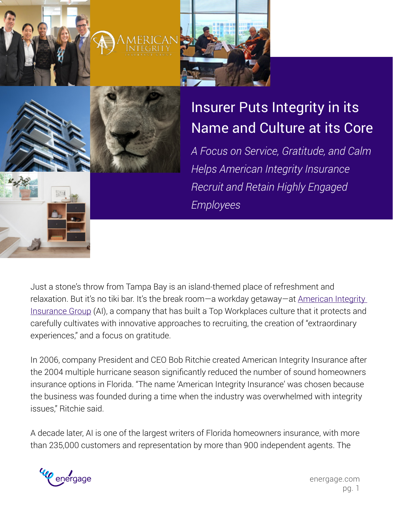

# Insurer Puts Integrity in its Name and Culture at its Core

*A Focus on Service, Gratitude, and Calm Helps American Integrity Insurance Recruit and Retain Highly Engaged Employees*

Just a stone's throw from Tampa Bay is an island-themed place of refreshment and relaxation. But it's no tiki bar. It's the break room—a workday getaway—at American Integrity [Insurance Group](https://aiicfl.com) (AI), a company that has built a Top Workplaces culture that it protects and carefully cultivates with innovative approaches to recruiting, the creation of "extraordinary

In 2006, company President and CEO Bob Ritchie created American Integrity Insurance after the 2004 multiple hurricane season significantly reduced the number of sound homeowners insurance options in Florida. "The name 'American Integrity Insurance' was chosen because the business was founded during a time when the industry was overwhelmed with integrity issues," Ritchie said.

A decade later, AI is one of the largest writers of Florida homeowners insurance, with more than 235,000 customers and representation by more than 900 independent agents. The



experiences," and a focus on gratitude.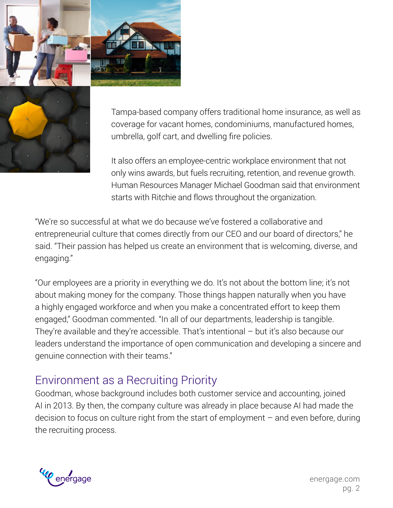



Tampa-based company offers traditional home insurance, as well as coverage for vacant homes, condominiums, manufactured homes, umbrella, golf cart, and dwelling fire policies.

It also offers an employee-centric workplace environment that not only wins awards, but fuels recruiting, retention, and revenue growth. Human Resources Manager Michael Goodman said that environment starts with Ritchie and flows throughout the organization.

"We're so successful at what we do because we've fostered a collaborative and entrepreneurial culture that comes directly from our CEO and our board of directors," he said. "Their passion has helped us create an environment that is welcoming, diverse, and engaging."

"Our employees are a priority in everything we do. It's not about the bottom line; it's not about making money for the company. Those things happen naturally when you have a highly engaged workforce and when you make a concentrated effort to keep them engaged," Goodman commented. "In all of our departments, leadership is tangible. They're available and they're accessible. That's intentional – but it's also because our leaders understand the importance of open communication and developing a sincere and genuine connection with their teams."

#### Environment as a Recruiting Priority

Goodman, whose background includes both customer service and accounting, joined AI in 2013. By then, the company culture was already in place because AI had made the decision to focus on culture right from the start of employment – and even before, during the recruiting process.

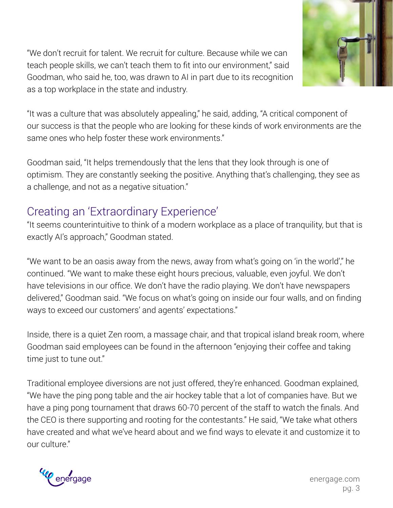"We don't recruit for talent. We recruit for culture. Because while we can teach people skills, we can't teach them to fit into our environment," said Goodman, who said he, too, was drawn to AI in part due to its recognition as a top workplace in the state and industry.



"It was a culture that was absolutely appealing," he said, adding, "A critical component of our success is that the people who are looking for these kinds of work environments are the same ones who help foster these work environments."

Goodman said, "It helps tremendously that the lens that they look through is one of optimism. They are constantly seeking the positive. Anything that's challenging, they see as a challenge, and not as a negative situation."

## Creating an 'Extraordinary Experience'

"It seems counterintuitive to think of a modern workplace as a place of tranquility, but that is exactly AI's approach," Goodman stated.

"We want to be an oasis away from the news, away from what's going on 'in the world'," he continued. "We want to make these eight hours precious, valuable, even joyful. We don't have televisions in our office. We don't have the radio playing. We don't have newspapers delivered," Goodman said. "We focus on what's going on inside our four walls, and on finding ways to exceed our customers' and agents' expectations."

Inside, there is a quiet Zen room, a massage chair, and that tropical island break room, where Goodman said employees can be found in the afternoon "enjoying their coffee and taking time just to tune out."

Traditional employee diversions are not just offered, they're enhanced. Goodman explained, "We have the ping pong table and the air hockey table that a lot of companies have. But we have a ping pong tournament that draws 60-70 percent of the staff to watch the finals. And the CEO is there supporting and rooting for the contestants." He said, "We take what others have created and what we've heard about and we find ways to elevate it and customize it to our culture."

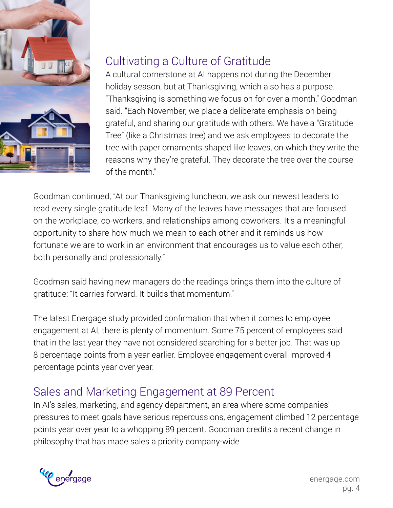

## Cultivating a Culture of Gratitude

A cultural cornerstone at AI happens not during the December holiday season, but at Thanksgiving, which also has a purpose. "Thanksgiving is something we focus on for over a month," Goodman said. "Each November, we place a deliberate emphasis on being grateful, and sharing our gratitude with others. We have a "Gratitude Tree" (like a Christmas tree) and we ask employees to decorate the tree with paper ornaments shaped like leaves, on which they write the reasons why they're grateful. They decorate the tree over the course of the month."

Goodman continued, "At our Thanksgiving luncheon, we ask our newest leaders to read every single gratitude leaf. Many of the leaves have messages that are focused on the workplace, co-workers, and relationships among coworkers. It's a meaningful opportunity to share how much we mean to each other and it reminds us how fortunate we are to work in an environment that encourages us to value each other, both personally and professionally."

Goodman said having new managers do the readings brings them into the culture of gratitude: "It carries forward. It builds that momentum."

The latest Energage study provided confirmation that when it comes to employee engagement at AI, there is plenty of momentum. Some 75 percent of employees said that in the last year they have not considered searching for a better job. That was up 8 percentage points from a year earlier. Employee engagement overall improved 4 percentage points year over year.

## Sales and Marketing Engagement at 89 Percent

In AI's sales, marketing, and agency department, an area where some companies' pressures to meet goals have serious repercussions, engagement climbed 12 percentage points year over year to a whopping 89 percent. Goodman credits a recent change in philosophy that has made sales a priority company-wide.

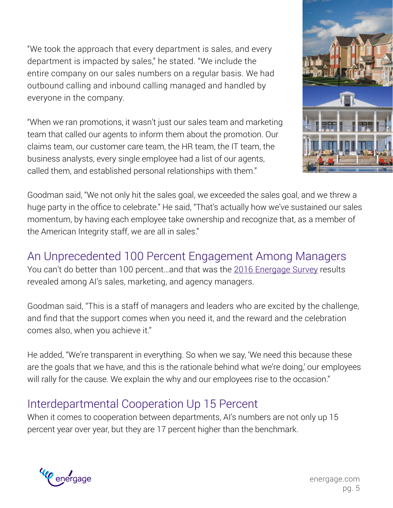"We took the approach that every department is sales, and every department is impacted by sales," he stated. "We include the entire company on our sales numbers on a regular basis. We had outbound calling and inbound calling managed and handled by everyone in the company.

"When we ran promotions, it wasn't just our sales team and marketing team that called our agents to inform them about the promotion. Our claims team, our customer care team, the HR team, the IT team, the business analysts, every single employee had a list of our agents, called them, and established personal relationships with them."



Goodman said, "We not only hit the sales goal, we exceeded the sales goal, and we threw a huge party in the office to celebrate." He said, "That's actually how we've sustained our sales momentum, by having each employee take ownership and recognize that, as a member of the American Integrity staff, we are all in sales."

#### An Unprecedented 100 Percent Engagement Among Managers

You can't do better than 100 percent...and that was the [2016 Energage Survey](http://www.workplacedynamics.com/the_survey/) results revealed among AI's sales, marketing, and agency managers.

Goodman said, "This is a staff of managers and leaders who are excited by the challenge, and find that the support comes when you need it, and the reward and the celebration comes also, when you achieve it."

He added, "We're transparent in everything. So when we say, 'We need this because these are the goals that we have, and this is the rationale behind what we're doing,' our employees will rally for the cause. We explain the why and our employees rise to the occasion."

#### Interdepartmental Cooperation Up 15 Percent

When it comes to cooperation between departments, AI's numbers are not only up 15 percent year over year, but they are 17 percent higher than the benchmark.



energage.com pg. 5